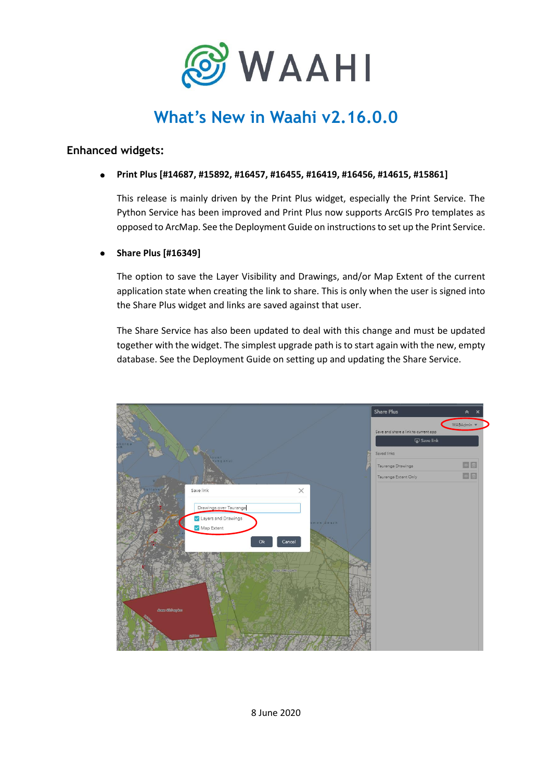

# **What's New in Waahi v2.16.0.0**

# **Enhanced widgets:**

#### **Print Plus [#14687, #15892, #16457, #16455, #16419, #16456, #14615, #15861]**  $\bullet$

This release is mainly driven by the Print Plus widget, especially the Print Service. The Python Service has been improved and Print Plus now supports ArcGIS Pro templates as opposed to ArcMap. See the Deployment Guide on instructions to set up the Print Service.

### **Share Plus [#16349]**

The option to save the Layer Visibility and Drawings, and/or Map Extent of the current application state when creating the link to share. This is only when the user is signed into the Share Plus widget and links are saved against that user.

The Share Service has also been updated to deal with this change and must be updated together with the widget. The simplest upgrade path is to start again with the new, empty database. See the Deployment Guide on setting up and updating the Share Service.

|                 |                                   |            | <b>Share Plus</b>                                 | $\hat{\varkappa}$<br>× |
|-----------------|-----------------------------------|------------|---------------------------------------------------|------------------------|
|                 |                                   |            |                                                   | WABAdmin -             |
|                 |                                   |            | Save and share a link to current app<br>Save link |                        |
|                 |                                   |            |                                                   |                        |
|                 | ount<br>qunganul                  |            | Saved links                                       |                        |
|                 |                                   |            | Tauranga Drawings                                 | OD                     |
|                 |                                   |            | Tauranga Extent Only                              | EB                     |
|                 | Save link                         | $\times$   |                                                   |                        |
|                 |                                   |            |                                                   |                        |
|                 | Drawings over Tauranga            |            |                                                   |                        |
|                 | Layers and Drawings<br>Map Extent | amos Beach |                                                   |                        |
|                 |                                   |            |                                                   |                        |
|                 | Ok                                | Cancel     |                                                   |                        |
|                 |                                   |            |                                                   |                        |
|                 | Areas 190 ag km                   |            |                                                   |                        |
|                 |                                   |            |                                                   |                        |
|                 |                                   | Le Bure    |                                                   |                        |
|                 |                                   |            |                                                   |                        |
| Area: 499 sq tm |                                   |            |                                                   |                        |
|                 |                                   |            |                                                   |                        |
|                 |                                   | 132 km     |                                                   |                        |
|                 | <b>BBbm</b>                       |            |                                                   |                        |